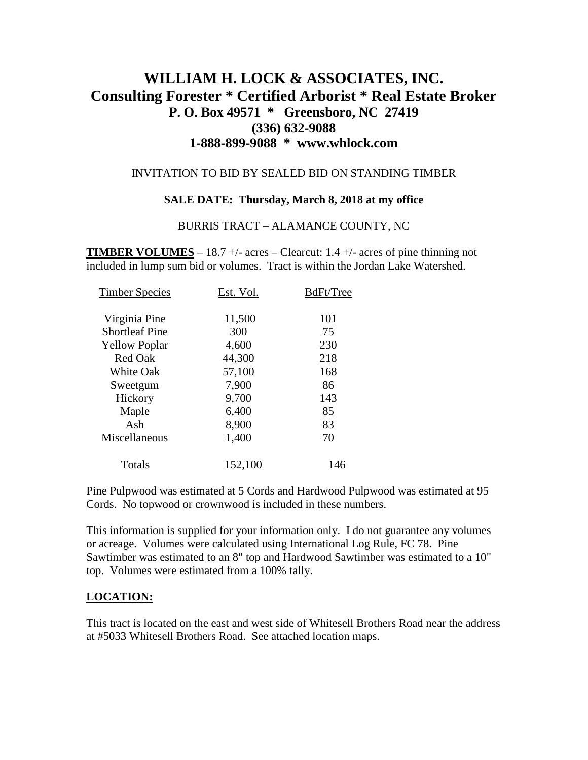# **WILLIAM H. LOCK & ASSOCIATES, INC. Consulting Forester \* Certified Arborist \* Real Estate Broker P. O. Box 49571 \* Greensboro, NC 27419 (336) 632-9088 1-888-899-9088 \* www.whlock.com**

### INVITATION TO BID BY SEALED BID ON STANDING TIMBER

#### **SALE DATE: Thursday, March 8, 2018 at my office**

#### BURRIS TRACT – ALAMANCE COUNTY, NC

**TIMBER VOLUMES** – 18.7 +/- acres – Clearcut: 1.4 +/- acres of pine thinning not included in lump sum bid or volumes. Tract is within the Jordan Lake Watershed.

| <b>Timber Species</b> | Est. Vol. | BdFt/Tree |
|-----------------------|-----------|-----------|
| Virginia Pine         | 11,500    | 101       |
| <b>Shortleaf Pine</b> | 300       | 75        |
| <b>Yellow Poplar</b>  | 4,600     | 230       |
| <b>Red Oak</b>        | 44,300    | 218       |
| <b>White Oak</b>      | 57,100    | 168       |
| Sweetgum              | 7,900     | 86        |
| Hickory               | 9,700     | 143       |
| Maple                 | 6,400     | 85        |
| Ash                   | 8,900     | 83        |
| Miscellaneous         | 1,400     | 70        |
| Totals                | 152,100   | 146       |

Pine Pulpwood was estimated at 5 Cords and Hardwood Pulpwood was estimated at 95 Cords. No topwood or crownwood is included in these numbers.

This information is supplied for your information only. I do not guarantee any volumes or acreage. Volumes were calculated using International Log Rule, FC 78. Pine Sawtimber was estimated to an 8" top and Hardwood Sawtimber was estimated to a 10" top. Volumes were estimated from a 100% tally.

### **LOCATION:**

This tract is located on the east and west side of Whitesell Brothers Road near the address at #5033 Whitesell Brothers Road. See attached location maps.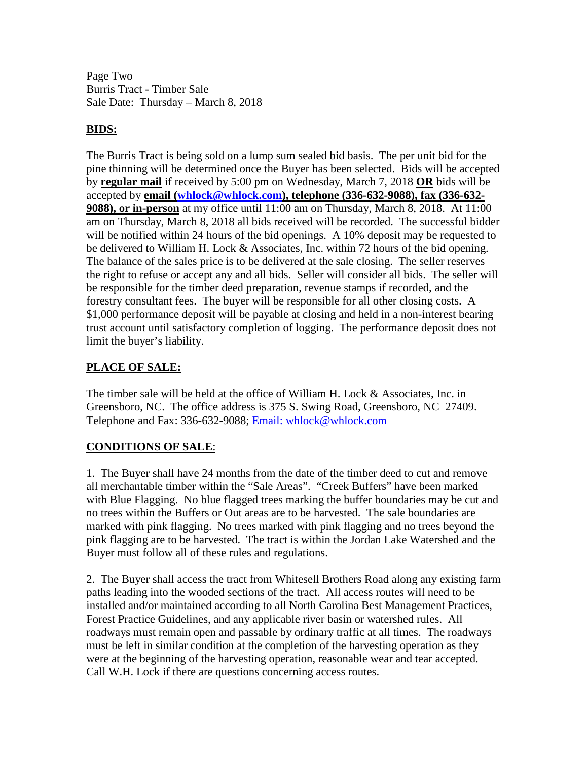Page Two Burris Tract - Timber Sale Sale Date: Thursday – March 8, 2018

# **BIDS:**

The Burris Tract is being sold on a lump sum sealed bid basis. The per unit bid for the pine thinning will be determined once the Buyer has been selected. Bids will be accepted by **regular mail** if received by 5:00 pm on Wednesday, March 7, 2018 **OR** bids will be accepted by **email [\(whlock@whlock.com\)](mailto:whlock@whlock.com), telephone (336-632-9088), fax (336-632- 9088), or in-person** at my office until 11:00 am on Thursday, March 8, 2018. At 11:00 am on Thursday, March 8, 2018 all bids received will be recorded. The successful bidder will be notified within 24 hours of the bid openings. A 10% deposit may be requested to be delivered to William H. Lock & Associates, Inc. within 72 hours of the bid opening. The balance of the sales price is to be delivered at the sale closing. The seller reserves the right to refuse or accept any and all bids. Seller will consider all bids. The seller will be responsible for the timber deed preparation, revenue stamps if recorded, and the forestry consultant fees. The buyer will be responsible for all other closing costs. A \$1,000 performance deposit will be payable at closing and held in a non-interest bearing trust account until satisfactory completion of logging. The performance deposit does not limit the buyer's liability.

# **PLACE OF SALE:**

The timber sale will be held at the office of William H. Lock & Associates, Inc. in Greensboro, NC. The office address is 375 S. Swing Road, Greensboro, NC 27409. Telephone and Fax: 336-632-9088; [Email: whlock@whlock.com](mailto:Email:%20whlock@whlock.com) 

# **CONDITIONS OF SALE**:

1. The Buyer shall have 24 months from the date of the timber deed to cut and remove all merchantable timber within the "Sale Areas". "Creek Buffers" have been marked with Blue Flagging. No blue flagged trees marking the buffer boundaries may be cut and no trees within the Buffers or Out areas are to be harvested. The sale boundaries are marked with pink flagging. No trees marked with pink flagging and no trees beyond the pink flagging are to be harvested. The tract is within the Jordan Lake Watershed and the Buyer must follow all of these rules and regulations.

2. The Buyer shall access the tract from Whitesell Brothers Road along any existing farm paths leading into the wooded sections of the tract. All access routes will need to be installed and/or maintained according to all North Carolina Best Management Practices, Forest Practice Guidelines, and any applicable river basin or watershed rules. All roadways must remain open and passable by ordinary traffic at all times. The roadways must be left in similar condition at the completion of the harvesting operation as they were at the beginning of the harvesting operation, reasonable wear and tear accepted. Call W.H. Lock if there are questions concerning access routes.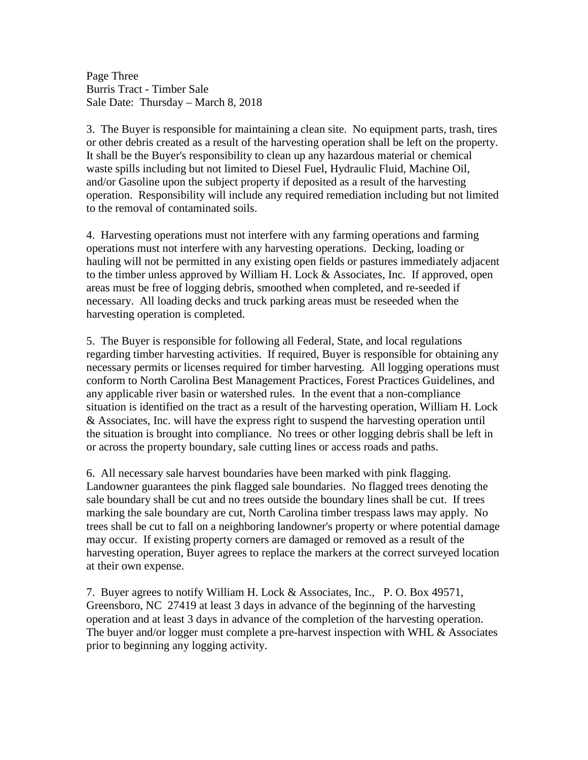Page Three Burris Tract - Timber Sale Sale Date: Thursday – March 8, 2018

3. The Buyer is responsible for maintaining a clean site. No equipment parts, trash, tires or other debris created as a result of the harvesting operation shall be left on the property. It shall be the Buyer's responsibility to clean up any hazardous material or chemical waste spills including but not limited to Diesel Fuel, Hydraulic Fluid, Machine Oil, and/or Gasoline upon the subject property if deposited as a result of the harvesting operation. Responsibility will include any required remediation including but not limited to the removal of contaminated soils.

4. Harvesting operations must not interfere with any farming operations and farming operations must not interfere with any harvesting operations. Decking, loading or hauling will not be permitted in any existing open fields or pastures immediately adjacent to the timber unless approved by William H. Lock & Associates, Inc. If approved, open areas must be free of logging debris, smoothed when completed, and re-seeded if necessary. All loading decks and truck parking areas must be reseeded when the harvesting operation is completed.

5. The Buyer is responsible for following all Federal, State, and local regulations regarding timber harvesting activities. If required, Buyer is responsible for obtaining any necessary permits or licenses required for timber harvesting. All logging operations must conform to North Carolina Best Management Practices, Forest Practices Guidelines, and any applicable river basin or watershed rules. In the event that a non-compliance situation is identified on the tract as a result of the harvesting operation, William H. Lock & Associates, Inc. will have the express right to suspend the harvesting operation until the situation is brought into compliance. No trees or other logging debris shall be left in or across the property boundary, sale cutting lines or access roads and paths.

6. All necessary sale harvest boundaries have been marked with pink flagging. Landowner guarantees the pink flagged sale boundaries. No flagged trees denoting the sale boundary shall be cut and no trees outside the boundary lines shall be cut. If trees marking the sale boundary are cut, North Carolina timber trespass laws may apply. No trees shall be cut to fall on a neighboring landowner's property or where potential damage may occur. If existing property corners are damaged or removed as a result of the harvesting operation, Buyer agrees to replace the markers at the correct surveyed location at their own expense.

7. Buyer agrees to notify William H. Lock & Associates, Inc., P. O. Box 49571, Greensboro, NC 27419 at least 3 days in advance of the beginning of the harvesting operation and at least 3 days in advance of the completion of the harvesting operation. The buyer and/or logger must complete a pre-harvest inspection with WHL & Associates prior to beginning any logging activity.